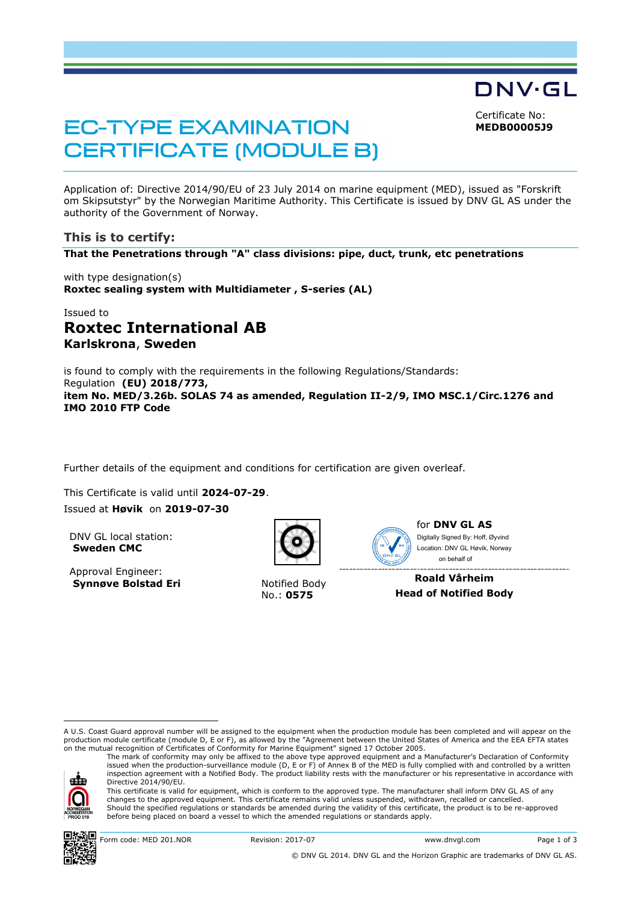Certificate No: **MEDB00005J9**

DNV·GL

# **EC-TYPE EXAMINATION CERTIFICATE (MODULE B)**

Application of: Directive 2014/90/EU of 23 July 2014 on marine equipment (MED), issued as "Forskrift om Skipsutstyr" by the Norwegian Maritime Authority. This Certificate is issued by DNV GL AS under the authority of the Government of Norway.

# **This is to certify:**

**That the Penetrations through "A" class divisions: pipe, duct, trunk, etc penetrations**

with type designation(s) **Roxtec sealing system with Multidiameter , S-series (AL)**

# Issued to **Roxtec International AB Karlskrona**, **Sweden**

is found to comply with the requirements in the following Regulations/Standards: Regulation **(EU) 2018/773, item No. MED/3.26b. SOLAS 74 as amended, Regulation II-2/9, IMO MSC.1/Circ.1276 and IMO 2010 FTP Code**

Further details of the equipment and conditions for certification are given overleaf.

This Certificate is valid until **2024-07-29**. Issued at **Høvik** on **2019-07-30**

DNV GL local station: **Sweden CMC**

Approval Engineer: **Synnøve Bolstad Eri** Notified Body



No.: **0575**



for **DNV GL AS** on behalf ofDigitally Signed By: Hoff, Øyvind Location: DNV GL Høvik, Norway

**Roald Vårheim Head of Notified Body**

A U.S. Coast Guard approval number will be assigned to the equipment when the production module has been completed and will appear on the production module certificate (module D, E or F), as allowed by the "Agreement between the United States of America and the EEA EFTA states on the mutual recognition of Certificates of Conformity for Marine Equipment" signed 17 October 2005.



ı

The mark of conformity may only be affixed to the above type approved equipment and a Manufacturer's Declaration of Conformity<br>issued when the production-surveillance module (D, E or F) of Annex B of the MED is fully compl inspection agreement with a Notified Body. The product liability rests with the manufacturer or his representative in accordance with Directive 2014/90/EU. This certificate is valid for equipment, which is conform to the approved type. The manufacturer shall inform DNV GL AS of any changes to the approved equipment. This certificate remains valid unless suspended, withdrawn, recalled or cancelled.

Should the specified regulations or standards be amended during the validity of this certificate, the product is to be re-approved before being placed on board a vessel to which the amended regulations or standards apply.

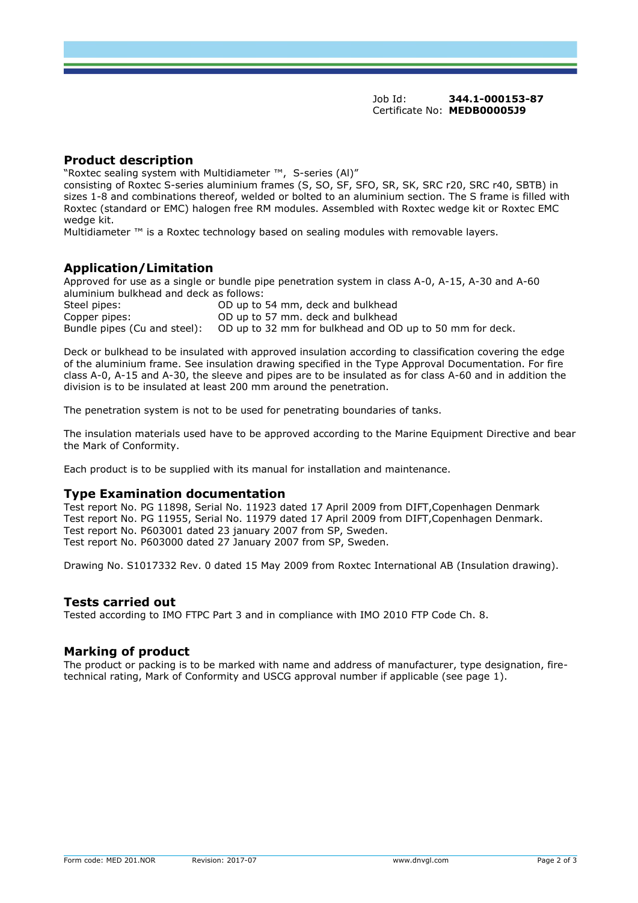#### **Product description**

"Roxtec sealing system with Multidiameter ™, S-series (Al)"

consisting of Roxtec S-series aluminium frames (S, SO, SF, SFO, SR, SK, SRC r20, SRC r40, SBTB) in sizes 1-8 and combinations thereof, welded or bolted to an aluminium section. The S frame is filled with Roxtec (standard or EMC) halogen free RM modules. Assembled with Roxtec wedge kit or Roxtec EMC wedge kit.

Multidiameter ™ is a Roxtec technology based on sealing modules with removable layers.

# **Application/Limitation**

Approved for use as a single or bundle pipe penetration system in class A-0, A-15, A-30 and A-60 aluminium bulkhead and deck as follows:

| Steel pipes:                 | OD up to 54 mm, deck and bulkhead                        |
|------------------------------|----------------------------------------------------------|
| Copper pipes:                | OD up to 57 mm. deck and bulkhead                        |
| Bundle pipes (Cu and steel): | OD up to 32 mm for bulkhead and OD up to 50 mm for deck. |

Deck or bulkhead to be insulated with approved insulation according to classification covering the edge of the aluminium frame. See insulation drawing specified in the Type Approval Documentation. For fire class A-0, A-15 and A-30, the sleeve and pipes are to be insulated as for class A-60 and in addition the division is to be insulated at least 200 mm around the penetration.

The penetration system is not to be used for penetrating boundaries of tanks.

The insulation materials used have to be approved according to the Marine Equipment Directive and bear the Mark of Conformity.

Each product is to be supplied with its manual for installation and maintenance.

#### **Type Examination documentation**

Test report No. PG 11898, Serial No. 11923 dated 17 April 2009 from DIFT,Copenhagen Denmark Test report No. PG 11955, Serial No. 11979 dated 17 April 2009 from DIFT,Copenhagen Denmark. Test report No. P603001 dated 23 january 2007 from SP, Sweden. Test report No. P603000 dated 27 January 2007 from SP, Sweden.

Drawing No. S1017332 Rev. 0 dated 15 May 2009 from Roxtec International AB (Insulation drawing).

#### **Tests carried out**

Tested according to IMO FTPC Part 3 and in compliance with IMO 2010 FTP Code Ch. 8.

#### **Marking of product**

The product or packing is to be marked with name and address of manufacturer, type designation, firetechnical rating, Mark of Conformity and USCG approval number if applicable (see page 1).